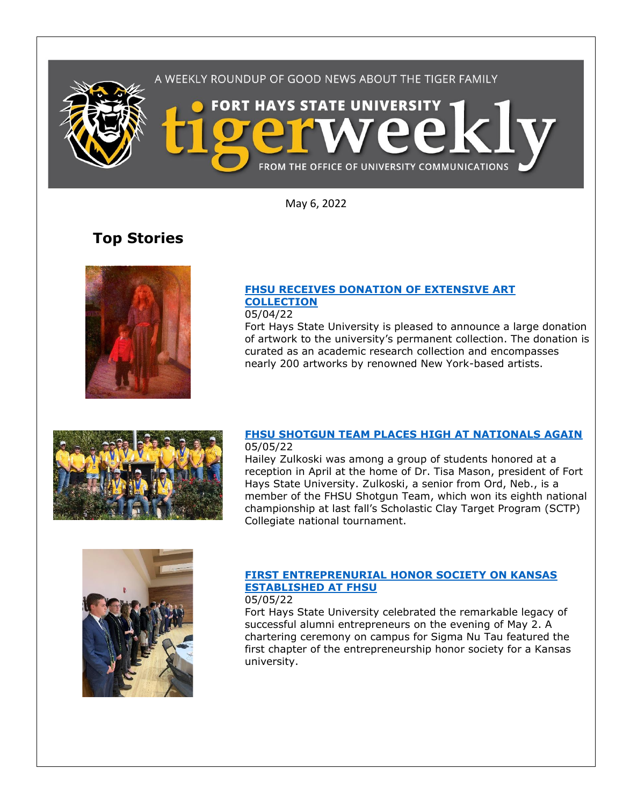

May 6, 2022

# **Top Stories**



### **[FHSU RECEIVES DONATION OF EXTENSIVE ART](https://www.fhsu.edu/news/2022/05/fhsu-receives-donation-of-extensive-art-collection)  [COLLECTION](https://www.fhsu.edu/news/2022/05/fhsu-receives-donation-of-extensive-art-collection)**

05/04/22

Fort Hays State University is pleased to announce a large donation of artwork to the university's permanent collection. The donation is curated as an academic research collection and encompasses nearly 200 artworks by renowned New York-based artists.



### **[FHSU SHOTGUN TEAM PLACES HIGH AT NATIONALS AGAIN](https://www.fhsu.edu/news/2022/05/fhsu-shotgun-team-places-high-at-nationals-again)** 05/05/22

Hailey Zulkoski was among a group of students honored at a reception in April at the home of Dr. Tisa Mason, president of Fort Hays State University. Zulkoski, a senior from Ord, Neb., is a member of the FHSU Shotgun Team, which won its eighth national championship at last fall's Scholastic Clay Target Program (SCTP) Collegiate national tournament.



#### **[FIRST ENTREPRENURIAL HONOR SOCIETY ON KANSAS](https://www.fhsu.edu/news/2022/05/first-entrepreneurial-honor-society-in-kansas-established-at-fhsu)  [ESTABLISHED AT FHSU](https://www.fhsu.edu/news/2022/05/first-entrepreneurial-honor-society-in-kansas-established-at-fhsu)** 05/05/22

Fort Hays State University celebrated the remarkable legacy of successful alumni entrepreneurs on the evening of May 2. A chartering ceremony on campus for Sigma Nu Tau featured the first chapter of the entrepreneurship honor society for a Kansas university.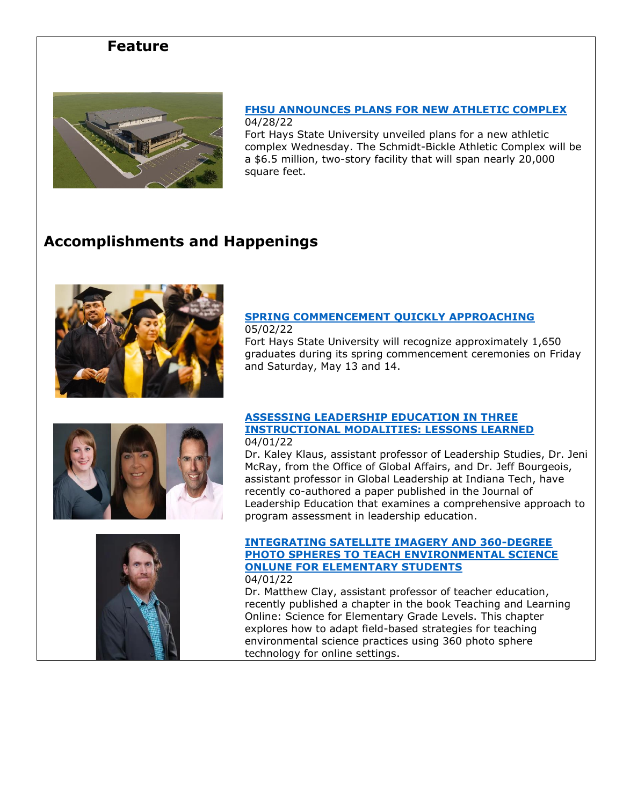# **Feature**



### **[FHSU ANNOUNCES PLANS FOR NEW ATHLETIC COMPLEX](https://www.fhsu.edu/news/2022/04/fhsu-announces-plans-for-new-athletic-complex)** 04/28/22

Fort Hays State University unveiled plans for a new athletic complex Wednesday. The Schmidt-Bickle Athletic Complex will be a \$6.5 million, two-story facility that will span nearly 20,000 square feet.

# **Accomplishments and Happenings**



## **[SPRING COMMENCEMENT QUICKLY APPROACHING](https://www.fhsu.edu/news/2022/04/fhsu-spring-commencement-quickly-approaching)**

05/02/22

Fort Hays State University will recognize approximately 1,650 graduates during its spring commencement ceremonies on Friday and Saturday, May 13 and 14.



### **[ASSESSING LEADERSHIP EDUCATION IN THREE](https://journalofleadershiped.org/jole_articles/assessing-leadership-education-in-three-instructional-modalities-lessons-learned/)  [INSTRUCTIONAL MODALITIES: LESSONS LEARNED](https://journalofleadershiped.org/jole_articles/assessing-leadership-education-in-three-instructional-modalities-lessons-learned/)** 04/01/22

Dr. Kaley Klaus, assistant professor of Leadership Studies, Dr. Jeni McRay, from the Office of Global Affairs, and Dr. Jeff Bourgeois, assistant professor in Global Leadership at Indiana Tech, have recently co-authored a paper published in the Journal of Leadership Education that examines a comprehensive approach to program assessment in leadership education.



### **[INTEGRATING SATELLITE IMAGERY AND 360-DEGREE](https://www.infoagepub.com/products/Teaching-and-Learning-Online-Science-for-Elementary-Grade-Levels)  [PHOTO SPHERES TO TEACH ENVIRONMENTAL SCIENCE](https://www.infoagepub.com/products/Teaching-and-Learning-Online-Science-for-Elementary-Grade-Levels)  [ONLUNE FOR ELEMENTARY STUDENTS](https://www.infoagepub.com/products/Teaching-and-Learning-Online-Science-for-Elementary-Grade-Levels)** 04/01/22

Dr. Matthew Clay, assistant professor of teacher education, recently published a chapter in the book Teaching and Learning Online: Science for Elementary Grade Levels. This chapter explores how to adapt field-based strategies for teaching environmental science practices using 360 photo sphere technology for online settings.